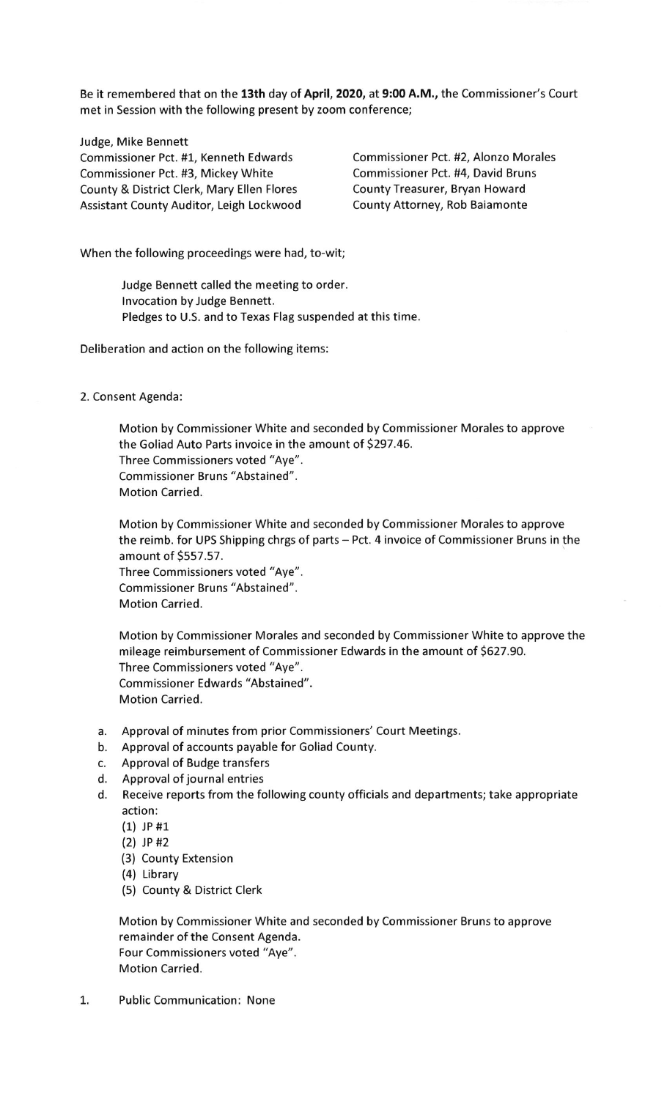Be it remembered that on the 13th day of April, 2020, at 9:00 A.M., the Commissioner's Court met in Session with the following present by zoom conference;

Judge, Mike Bennett Commissioner Pct. #1, Kenneth Edwards Commissioner Pct. #2, Alonzo Morales Commissioner Pct. #3, Mickey White Commissioner Pct. #4, David Bruns County & District Clerk, Mary Ellen Flores County Treasurer, Bryan Howard Assistant County Auditor, Leigh Lockwood County Attorney, Rob Baiamonte

When the following proceedings were had, to-wit;

Judge Bennett called the meeting to order. lnvocation by Judge Bennett. Pledges to U.S. and to Texas Flag suspended at this time.

Deliberation and action on the following items:

## 2. Consent Agenda:

Motion by Commissioner White and seconded by Commissioner Morales to approve the Goliad Auto Parts invoice in the amount of \$297.46. Three Commissioners voted "Aye". Commissioner Bruns "Abstained". Motion Carried.

Motion by Commissioner White and seconded by Commissioner Morales to approve the reimb. for UPS Shipping chrgs of parts - Pct. 4 invoice of Commissioner Bruns in the amount of 5557.57. Three Commissioners voted "Aye". Commissioner Bruns "Abstained". Motion Carried.

Motion by Commissioner Morales and seconded by Commissioner White to approve the mileage reimbursement of Commissioner Edwards in the amount of 5627.90. Three Commissioners voted "Aye". Commissioner Edwards "Abstained". Motion Carried.

- a. Approval of minutes from prior Commissioners' Court Meetings.
- b. Approval of accounts payable for Goliad County.
- c. Approval of Budge transfers
- d. Approval of journal entries
- d. Receive reports from the following county officials and departments; take appropriate action:
	- (1) JP #1
	- l2l )P#2
	- (3) County Extension
	- (4) Library
	- (5) County & District clerk

Motion by Commissioner White and seconded by Commissioner Bruns to approve remainder of the Consent Agenda. Four Commissioners voted "Aye". Motion Carried.

1. Public Communication: None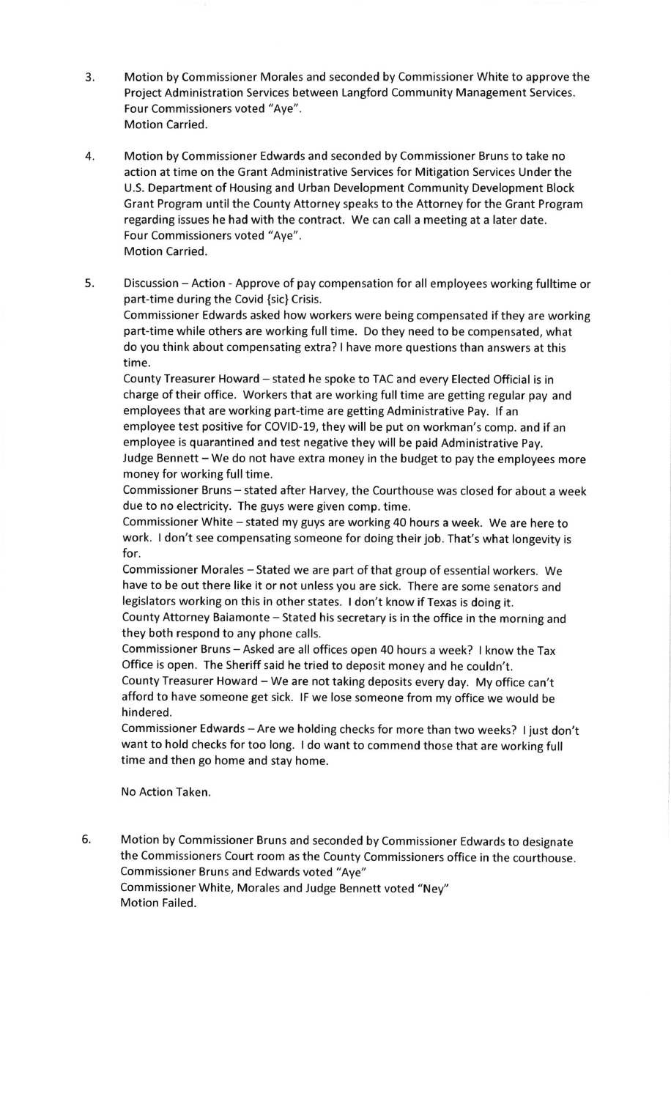- 3. Motion by Commissioner Morales and seconded by Commissioner White to approve the Project Administration Services between Langford Community Management Services. Four Commissioners voted "Aye". Motion Carried.
- 4. Motion by Commissioner Edwards and seconded by Commissioner Bruns to take no action at time on the Grant Administrative Services for Mitigation Services Under the U.S. Department of Housing and Urban Development Community Development Block Grant Program until the County Attorney speaks to the Attorney for the Grant Program regarding issues he had with the contract. We can call a meeting at a later date. Four Commissioners voted "Aye". Motion Carried.
- 5. Discussion Action Approve of pay compensation for all employees working fulltime or part-time during the Covid {sic} Crisis.

Commissioner Edwards asked how workers were being compensated if they are working part-time while others are working full time. Do they need to be compensated, what do you think about compensating extra? I have more questions than answers at this time.

County Treasurer Howard - stated he spoke to TAC and every Elected Official is in charge of their office. Workers that are working full time are getting regular pay and employees that are working part-time are getting Administrative Pay. lf an employee test positive for COVID-19, they will be put on workman's comp. and if an employee is quarantined and test negative they will be paid Administrative Pay. Judge Bennett - We do not have extra money in the budget to pay the employees more money for working full time.

Commissioner Bruns - stated after Harvey, the Courthouse was closed for about a week due to no electricity. The guys were given comp. time.

Commissioner White - stated my guys are working 40 hours a week. We are here to work. I don't see compensating someone for doing their job. That's what longevity is for.

Commissioner Morales - Stated we are part of that group of essential workers. We have to be out there like it or not unless you are sick. There are some senators and legislators working on this in other states. I don't know if Texas is doing it.

County Attorney Baiamonte - Stated his secretary is in the office in the morning and they both respond to any phone calls.

Commissioner Bruns - Asked are all offices open 40 hours a week? I know the Tax Office is open. The Sheriff said he tried to deposit money and he couldn't.

County Treasurer Howard - We are not taking deposits every day. My office can't afford to have someone get sick. lF we lose someone from my office we would be hindered.

Commissioner Edwards - Are we holding checks for more than two weeks? I just don't want to hold checks for too long. I do want to commend those that are working full time and then go home and stay home.

No Action Taken.

6. Motion by commissioner Bruns and seconded by commissioner Edwards to designate the Commissioners Court room as the County Commissioners office in the courthouse. Commissioner Bruns and Edwards voted "Aye" Commissioner White, Morales and Judge Bennett voted "Ney" Motion Failed.